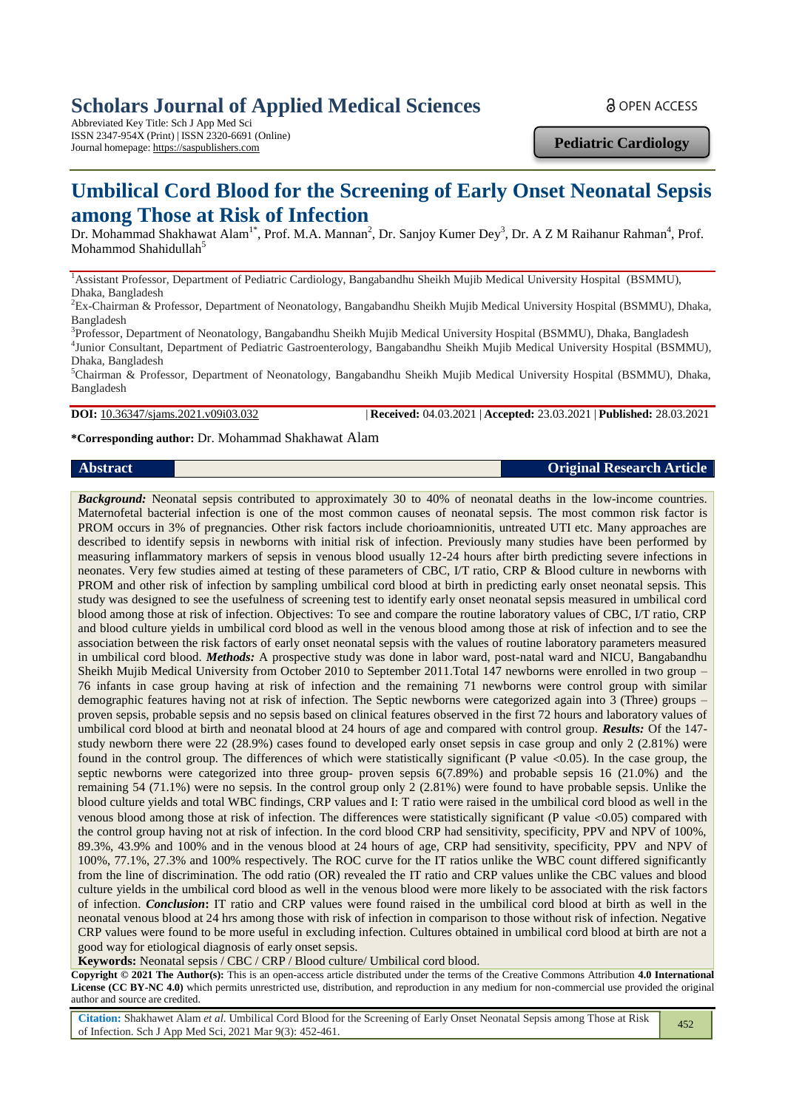# **Scholars Journal of Applied Medical Sciences**

Abbreviated Key Title: Sch J App Med Sci ISSN 2347-954X (Print) | ISSN 2320-6691 (Online) Journal homepage: https://saspublishers.com **Pediatric Cardiology**

**& OPEN ACCESS** 

# **Umbilical Cord Blood for the Screening of Early Onset Neonatal Sepsis among Those at Risk of Infection**

Dr. Mohammad Shakhawat Alam<sup>1\*</sup>, Prof. M.A. Mannan<sup>2</sup>, Dr. Sanjoy Kumer Dey<sup>3</sup>, Dr. A Z M Raihanur Rahman<sup>4</sup>, Prof. Mohammod Shahidullah<sup>5</sup>

<sup>1</sup>Assistant Professor, Department of Pediatric Cardiology, Bangabandhu Sheikh Mujib Medical University Hospital (BSMMU), Dhaka, Bangladesh

<sup>2</sup>Ex-Chairman & Professor, Department of Neonatology, Bangabandhu Sheikh Mujib Medical University Hospital (BSMMU), Dhaka, Bangladesh

<sup>3</sup>Professor, Department of Neonatology, Bangabandhu Sheikh Mujib Medical University Hospital (BSMMU), Dhaka, Bangladesh 4 Junior Consultant, Department of Pediatric Gastroenterology, Bangabandhu Sheikh Mujib Medical University Hospital (BSMMU), Dhaka, Bangladesh

 ${}^5$ Chairman & Professor, Department of Neonatology, Bangabandhu Sheikh Mujib Medical University Hospital (BSMMU), Dhaka, Bangladesh

**DOI:** 10.36347/sjams.2021.v09i03.032 | **Received:** 04.03.2021 | **Accepted:** 23.03.2021 | **Published:** 28.03.2021

#### **\*Corresponding author:** Dr. Mohammad Shakhawat Alam

#### **Abstract Original Research Article**

*Background:* Neonatal sepsis contributed to approximately 30 to 40% of neonatal deaths in the low-income countries. Maternofetal bacterial infection is one of the most common causes of neonatal sepsis. The most common risk factor is PROM occurs in 3% of pregnancies. Other risk factors include chorioamnionitis, untreated UTI etc. Many approaches are described to identify sepsis in newborns with initial risk of infection. Previously many studies have been performed by measuring inflammatory markers of sepsis in venous blood usually 12-24 hours after birth predicting severe infections in neonates. Very few studies aimed at testing of these parameters of CBC, I/T ratio, CRP & Blood culture in newborns with PROM and other risk of infection by sampling umbilical cord blood at birth in predicting early onset neonatal sepsis. This study was designed to see the usefulness of screening test to identify early onset neonatal sepsis measured in umbilical cord blood among those at risk of infection. Objectives: To see and compare the routine laboratory values of CBC, I/T ratio, CRP and blood culture yields in umbilical cord blood as well in the venous blood among those at risk of infection and to see the association between the risk factors of early onset neonatal sepsis with the values of routine laboratory parameters measured in umbilical cord blood. *Methods:* A prospective study was done in labor ward, post-natal ward and NICU, Bangabandhu Sheikh Mujib Medical University from October 2010 to September 2011.Total 147 newborns were enrolled in two group – 76 infants in case group having at risk of infection and the remaining 71 newborns were control group with similar demographic features having not at risk of infection. The Septic newborns were categorized again into 3 (Three) groups – proven sepsis, probable sepsis and no sepsis based on clinical features observed in the first 72 hours and laboratory values of umbilical cord blood at birth and neonatal blood at 24 hours of age and compared with control group. *Results:* Of the 147 study newborn there were 22 (28.9%) cases found to developed early onset sepsis in case group and only 2 (2.81%) were found in the control group. The differences of which were statistically significant (P value  $\lt 0.05$ ). In the case group, the septic newborns were categorized into three group- proven sepsis 6(7.89%) and probable sepsis 16 (21.0%) and the remaining 54 (71.1%) were no sepsis. In the control group only 2 (2.81%) were found to have probable sepsis. Unlike the blood culture yields and total WBC findings, CRP values and I: T ratio were raised in the umbilical cord blood as well in the venous blood among those at risk of infection. The differences were statistically significant (P value  $\lt 0.05$ ) compared with the control group having not at risk of infection. In the cord blood CRP had sensitivity, specificity, PPV and NPV of 100%, 89.3%, 43.9% and 100% and in the venous blood at 24 hours of age, CRP had sensitivity, specificity, PPV and NPV of 100%, 77.1%, 27.3% and 100% respectively. The ROC curve for the IT ratios unlike the WBC count differed significantly from the line of discrimination. The odd ratio (OR) revealed the IT ratio and CRP values unlike the CBC values and blood culture yields in the umbilical cord blood as well in the venous blood were more likely to be associated with the risk factors of infection. *Conclusion***:** IT ratio and CRP values were found raised in the umbilical cord blood at birth as well in the neonatal venous blood at 24 hrs among those with risk of infection in comparison to those without risk of infection. Negative CRP values were found to be more useful in excluding infection. Cultures obtained in umbilical cord blood at birth are not a good way for etiological diagnosis of early onset sepsis.

**Keywords:** Neonatal sepsis / CBC / CRP / Blood culture/ Umbilical cord blood.

**Copyright © 2021 The Author(s):** This is an open-access article distributed under the terms of the Creative Commons Attribution **4.0 International License (CC BY-NC 4.0)** which permits unrestricted use, distribution, and reproduction in any medium for non-commercial use provided the original author and source are credited.

**Citation:** Shakhawet Alam *et al.* Umbilical Cord Blood for the Screening of Early Onset Neonatal Sepsis among Those at Risk 452 of Infection. Sch J App Med Sci, 2021 Mar 9(3): 452-461.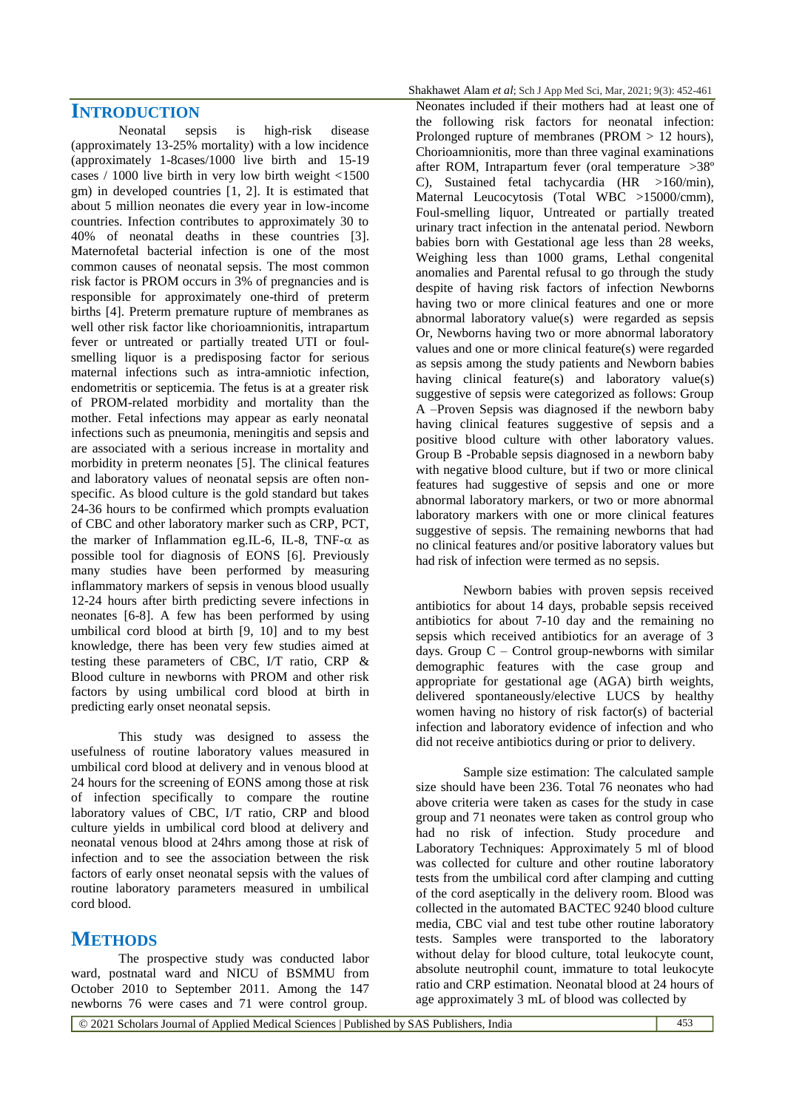#### **INTRODUCTION**

Neonatal sepsis is high-risk disease (approximately 13-25% mortality) with a low incidence (approximately 1-8cases/1000 live birth and 15-19 cases / 1000 live birth in very low birth weight <1500 gm) in developed countries [1, 2]. It is estimated that about 5 million neonates die every year in low-income countries. Infection contributes to approximately 30 to 40% of neonatal deaths in these countries [3]. Maternofetal bacterial infection is one of the most common causes of neonatal sepsis. The most common risk factor is PROM occurs in 3% of pregnancies and is responsible for approximately one-third of preterm births [4]. Preterm premature rupture of membranes as well other risk factor like chorioamnionitis, intrapartum fever or untreated or partially treated UTI or foulsmelling liquor is a predisposing factor for serious maternal infections such as intra-amniotic infection, endometritis or septicemia. The fetus is at a greater risk of PROM-related morbidity and mortality than the mother. Fetal infections may appear as early neonatal infections such as pneumonia, meningitis and sepsis and are associated with a serious increase in mortality and morbidity in preterm neonates [5]. The clinical features and laboratory values of neonatal sepsis are often nonspecific. As blood culture is the gold standard but takes 24-36 hours to be confirmed which prompts evaluation of CBC and other laboratory marker such as CRP, PCT, the marker of Inflammation eg.IL-6, IL-8, TNF- $\alpha$  as possible tool for diagnosis of EONS [6]. Previously many studies have been performed by measuring inflammatory markers of sepsis in venous blood usually 12-24 hours after birth predicting severe infections in neonates [6-8]. A few has been performed by using umbilical cord blood at birth [9, 10] and to my best knowledge, there has been very few studies aimed at testing these parameters of CBC, I/T ratio, CRP & Blood culture in newborns with PROM and other risk factors by using umbilical cord blood at birth in predicting early onset neonatal sepsis.

This study was designed to assess the usefulness of routine laboratory values measured in umbilical cord blood at delivery and in venous blood at 24 hours for the screening of EONS among those at risk of infection specifically to compare the routine laboratory values of CBC, I/T ratio, CRP and blood culture yields in umbilical cord blood at delivery and neonatal venous blood at 24hrs among those at risk of infection and to see the association between the risk factors of early onset neonatal sepsis with the values of routine laboratory parameters measured in umbilical cord blood.

## **METHODS**

The prospective study was conducted labor ward, postnatal ward and NICU of BSMMU from October 2010 to September 2011. Among the 147 newborns 76 were cases and 71 were control group.

Neonates included if their mothers had at least one of the following risk factors for neonatal infection: Prolonged rupture of membranes (PROM > 12 hours), Chorioamnionitis, more than three vaginal examinations after ROM, Intrapartum fever (oral temperature >38º C), Sustained fetal tachycardia (HR >160/min), Maternal Leucocytosis (Total WBC >15000/cmm), Foul-smelling liquor, Untreated or partially treated urinary tract infection in the antenatal period. Newborn babies born with Gestational age less than 28 weeks, Weighing less than 1000 grams, Lethal congenital anomalies and Parental refusal to go through the study despite of having risk factors of infection Newborns having two or more clinical features and one or more abnormal laboratory value(s) were regarded as sepsis Or, Newborns having two or more abnormal laboratory values and one or more clinical feature(s) were regarded as sepsis among the study patients and Newborn babies having clinical feature(s) and laboratory value(s) suggestive of sepsis were categorized as follows: Group A –Proven Sepsis was diagnosed if the newborn baby having clinical features suggestive of sepsis and a positive blood culture with other laboratory values. Group B -Probable sepsis diagnosed in a newborn baby with negative blood culture, but if two or more clinical features had suggestive of sepsis and one or more abnormal laboratory markers, or two or more abnormal laboratory markers with one or more clinical features suggestive of sepsis. The remaining newborns that had no clinical features and/or positive laboratory values but had risk of infection were termed as no sepsis.

Newborn babies with proven sepsis received antibiotics for about 14 days, probable sepsis received antibiotics for about 7-10 day and the remaining no sepsis which received antibiotics for an average of 3 days. Group  $C$  – Control group-newborns with similar demographic features with the case group and appropriate for gestational age (AGA) birth weights, delivered spontaneously/elective LUCS by healthy women having no history of risk factor(s) of bacterial infection and laboratory evidence of infection and who did not receive antibiotics during or prior to delivery.

Sample size estimation: The calculated sample size should have been 236. Total 76 neonates who had above criteria were taken as cases for the study in case group and 71 neonates were taken as control group who had no risk of infection. Study procedure and Laboratory Techniques: Approximately 5 ml of blood was collected for culture and other routine laboratory tests from the umbilical cord after clamping and cutting of the cord aseptically in the delivery room. Blood was collected in the automated BACTEC 9240 blood culture media, CBC vial and test tube other routine laboratory tests. Samples were transported to the laboratory without delay for blood culture, total leukocyte count, absolute neutrophil count, immature to total leukocyte ratio and CRP estimation. Neonatal blood at 24 hours of age approximately 3 mL of blood was collected by

© 2021 Scholars Journal of Applied Medical Sciences | Published by SAS Publishers, India 453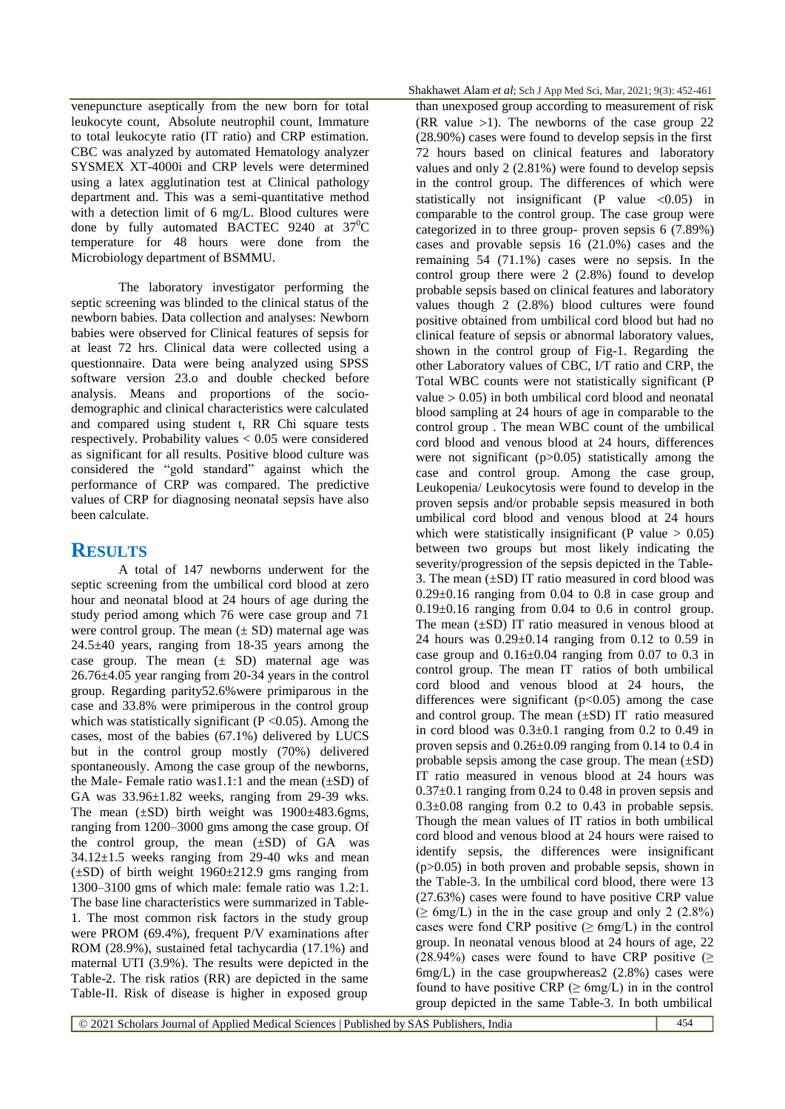venepuncture aseptically from the new born for total leukocyte count, Absolute neutrophil count, Immature to total leukocyte ratio (IT ratio) and CRP estimation. CBC was analyzed by automated Hematology analyzer SYSMEX XT-4000i and CRP levels were determined using a latex agglutination test at Clinical pathology department and. This was a semi-quantitative method with a detection limit of 6 mg/L. Blood cultures were done by fully automated BACTEC 9240 at  $37^0C$ temperature for 48 hours were done from the Microbiology department of BSMMU.

The laboratory investigator performing the septic screening was blinded to the clinical status of the newborn babies. Data collection and analyses: Newborn babies were observed for Clinical features of sepsis for at least 72 hrs. Clinical data were collected using a questionnaire. Data were being analyzed using SPSS software version 23.o and double checked before analysis. Means and proportions of the sociodemographic and clinical characteristics were calculated and compared using student t, RR Chi square tests respectively. Probability values < 0.05 were considered as significant for all results. Positive blood culture was considered the "gold standard" against which the performance of CRP was compared. The predictive values of CRP for diagnosing neonatal sepsis have also been calculate.

#### **RESULTS**

A total of 147 newborns underwent for the septic screening from the umbilical cord blood at zero hour and neonatal blood at 24 hours of age during the study period among which 76 were case group and 71 were control group. The mean  $(\pm SD)$  maternal age was 24.5±40 years, ranging from 18-35 years among the case group. The mean  $(\pm$  SD) maternal age was 26.76±4.05 year ranging from 20-34 years in the control group. Regarding parity52.6%were primiparous in the case and 33.8% were primiperous in the control group which was statistically significant ( $P < 0.05$ ). Among the cases, most of the babies (67.1%) delivered by LUCS but in the control group mostly (70%) delivered spontaneously. Among the case group of the newborns, the Male- Female ratio was1.1:1 and the mean  $(\pm SD)$  of GA was 33.96±1.82 weeks, ranging from 29-39 wks. The mean ( $\pm$ SD) birth weight was 1900 $\pm$ 483.6gms, ranging from 1200–3000 gms among the case group. Of the control group, the mean  $(\pm SD)$  of GA was  $34.12 \pm 1.5$  weeks ranging from 29-40 wks and mean  $(\pm SD)$  of birth weight 1960 $\pm$ 212.9 gms ranging from 1300–3100 gms of which male: female ratio was 1.2:1. The base line characteristics were summarized in Table-1. The most common risk factors in the study group were PROM (69.4%), frequent P/V examinations after ROM (28.9%), sustained fetal tachycardia (17.1%) and maternal UTI (3.9%). The results were depicted in the Table-2. The risk ratios (RR) are depicted in the same Table-II. Risk of disease is higher in exposed group

than unexposed group according to measurement of risk (RR value  $>1$ ). The newborns of the case group 22 (28.90%) cases were found to develop sepsis in the first 72 hours based on clinical features and laboratory values and only 2 (2.81%) were found to develop sepsis in the control group. The differences of which were statistically not insignificant  $(P \text{ value} < 0.05)$  in comparable to the control group. The case group were categorized in to three group- proven sepsis 6 (7.89%) cases and provable sepsis 16 (21.0%) cases and the remaining 54 (71.1%) cases were no sepsis. In the control group there were 2 (2.8%) found to develop probable sepsis based on clinical features and laboratory values though 2 (2.8%) blood cultures were found positive obtained from umbilical cord blood but had no clinical feature of sepsis or abnormal laboratory values, shown in the control group of Fig-1. Regarding the other Laboratory values of CBC, I/T ratio and CRP, the Total WBC counts were not statistically significant (P value  $> 0.05$ ) in both umbilical cord blood and neonatal blood sampling at 24 hours of age in comparable to the control group . The mean WBC count of the umbilical cord blood and venous blood at 24 hours, differences were not significant  $(p>0.05)$  statistically among the case and control group. Among the case group, Leukopenia/ Leukocytosis were found to develop in the proven sepsis and/or probable sepsis measured in both umbilical cord blood and venous blood at 24 hours which were statistically insignificant (P value  $> 0.05$ ) between two groups but most likely indicating the severity/progression of the sepsis depicted in the Table-3. The mean (±SD) IT ratio measured in cord blood was  $0.29\pm0.16$  ranging from 0.04 to 0.8 in case group and  $0.19\pm0.16$  ranging from 0.04 to 0.6 in control group. The mean  $(\pm SD)$  IT ratio measured in venous blood at 24 hours was  $0.29 \pm 0.14$  ranging from 0.12 to 0.59 in case group and  $0.16\pm0.04$  ranging from 0.07 to 0.3 in control group. The mean IT ratios of both umbilical cord blood and venous blood at 24 hours, the differences were significant  $(p<0.05)$  among the case and control group. The mean  $(\pm SD)$  IT ratio measured in cord blood was  $0.3\pm0.1$  ranging from 0.2 to 0.49 in proven sepsis and 0.26±0.09 ranging from 0.14 to 0.4 in probable sepsis among the case group. The mean  $(\pm SD)$ IT ratio measured in venous blood at 24 hours was  $0.37\pm0.1$  ranging from 0.24 to 0.48 in proven sepsis and  $0.3\pm0.08$  ranging from 0.2 to 0.43 in probable sepsis. Though the mean values of IT ratios in both umbilical cord blood and venous blood at 24 hours were raised to identify sepsis, the differences were insignificant (p>0.05) in both proven and probable sepsis, shown in the Table-3. In the umbilical cord blood, there were 13 (27.63%) cases were found to have positive CRP value  $(\geq 6 \text{mg/L})$  in the in the case group and only 2 (2.8%) cases were fond CRP positive ( $\geq 6$ mg/L) in the control group. In neonatal venous blood at 24 hours of age, 22 (28.94%) cases were found to have CRP positive ( $\geq$  $6mg/L$ ) in the case groupwhereas  $2(2.8\%)$  cases were found to have positive CRP ( $\geq 6$ mg/L) in in the control group depicted in the same Table-3. In both umbilical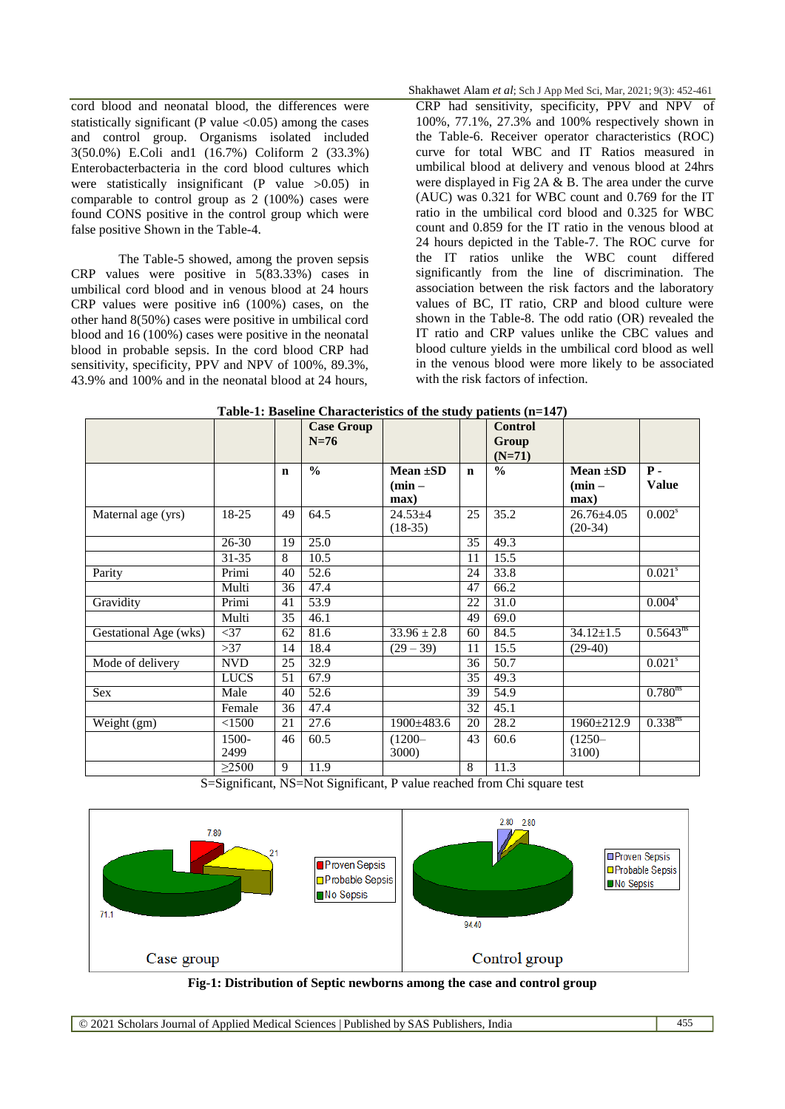cord blood and neonatal blood, the differences were statistically significant (P value  $< 0.05$ ) among the cases and control group. Organisms isolated included 3(50.0%) E.Coli and1 (16.7%) Coliform 2 (33.3%) Enterobacterbacteria in the cord blood cultures which were statistically insignificant (P value  $>0.05$ ) in comparable to control group as 2 (100%) cases were found CONS positive in the control group which were false positive Shown in the Table-4.

The Table-5 showed, among the proven sepsis CRP values were positive in 5(83.33%) cases in umbilical cord blood and in venous blood at 24 hours CRP values were positive in6 (100%) cases, on the other hand 8(50%) cases were positive in umbilical cord blood and 16 (100%) cases were positive in the neonatal blood in probable sepsis. In the cord blood CRP had sensitivity, specificity, PPV and NPV of 100%, 89.3%, 43.9% and 100% and in the neonatal blood at 24 hours,

Shakhawet Alam *et al*; Sch J App Med Sci, Mar, 2021; 9(3): 452-461

CRP had sensitivity, specificity, PPV and NPV of 100%, 77.1%, 27.3% and 100% respectively shown in the Table-6. Receiver operator characteristics (ROC) curve for total WBC and IT Ratios measured in umbilical blood at delivery and venous blood at 24hrs were displayed in Fig 2A & B. The area under the curve (AUC) was 0.321 for WBC count and 0.769 for the IT ratio in the umbilical cord blood and 0.325 for WBC count and 0.859 for the IT ratio in the venous blood at 24 hours depicted in the Table-7. The ROC curve for the IT ratios unlike the WBC count differed significantly from the line of discrimination. The association between the risk factors and the laboratory values of BC, IT ratio, CRP and blood culture were shown in the Table-8. The odd ratio (OR) revealed the IT ratio and CRP values unlike the CBC values and blood culture yields in the umbilical cord blood as well in the venous blood were more likely to be associated with the risk factors of infection.

|                       |             |             | <b>Case Group</b><br>$N=76$ |                            |             | <b>Control</b><br>Group |                               |                       |
|-----------------------|-------------|-------------|-----------------------------|----------------------------|-------------|-------------------------|-------------------------------|-----------------------|
|                       |             |             |                             |                            |             | $(N=71)$                |                               |                       |
|                       |             | $\mathbf n$ | $\frac{0}{0}$               | Mean $\pm SD$              | $\mathbf n$ | $\frac{0}{0}$           | Mean $\pm SD$                 | $P -$                 |
|                       |             |             |                             | $(min -$                   |             |                         | $(min -$                      | <b>Value</b>          |
|                       |             |             |                             | max)                       |             |                         | max)                          |                       |
| Maternal age (yrs)    | 18-25       | 49          | 64.5                        | $24.53 \pm 4$<br>$(18-35)$ | 25          | 35.2                    | $26.76 \pm 4.05$<br>$(20-34)$ | $0.002^s$             |
|                       | $26 - 30$   | 19          | 25.0                        |                            | 35          | 49.3                    |                               |                       |
|                       | 31-35       | 8           | 10.5                        |                            | 11          | 15.5                    |                               |                       |
| Parity                | Primi       | 40          | 52.6                        |                            | 24          | 33.8                    |                               | $0.021$ <sup>s</sup>  |
|                       | Multi       | 36          | 47.4                        |                            | 47          | 66.2                    |                               |                       |
| Gravidity             | Primi       | 41          | 53.9                        |                            | 22          | 31.0                    |                               | $0.004^s$             |
|                       | Multi       | 35          | 46.1                        |                            | 49          | 69.0                    |                               |                       |
| Gestational Age (wks) | $<$ 37      | 62          | 81.6                        | $33.96 \pm 2.8$            | 60          | 84.5                    | $34.12 \pm 1.5$               | $0.5643^{ns}$         |
|                       | >37         | 14          | 18.4                        | $(29 - 39)$                | 11          | 15.5                    | $(29-40)$                     |                       |
| Mode of delivery      | <b>NVD</b>  | 25          | 32.9                        |                            | 36          | 50.7                    |                               | $0.021$ <sup>s</sup>  |
|                       | <b>LUCS</b> | 51          | 67.9                        |                            | 35          | 49.3                    |                               |                       |
| Sex                   | Male        | 40          | 52.6                        |                            | 39          | 54.9                    |                               | $0.780$ <sup>ns</sup> |
|                       | Female      | 36          | 47.4                        |                            | 32          | 45.1                    |                               |                       |
| Weight (gm)           | < 1500      | 21          | 27.6                        | $1900 \pm 483.6$           | 20          | 28.2                    | $1960 \pm 212.9$              | $0.338^{ns}$          |
|                       | 1500-       | 46          | 60.5                        | $(1200 -$                  | 43          | 60.6                    | $(1250 -$                     |                       |
|                       | 2499        |             |                             | 3000)                      |             |                         | 3100)                         |                       |
|                       | $\geq$ 2500 | 9           | 11.9                        |                            | 8           | 11.3                    |                               |                       |

| Table-1: Baseline Characteristics of the study patients (n=147) |  |
|-----------------------------------------------------------------|--|
|-----------------------------------------------------------------|--|

S=Significant, NS=Not Significant, P value reached from Chi square test



**Fig-1: Distribution of Septic newborns among the case and control group**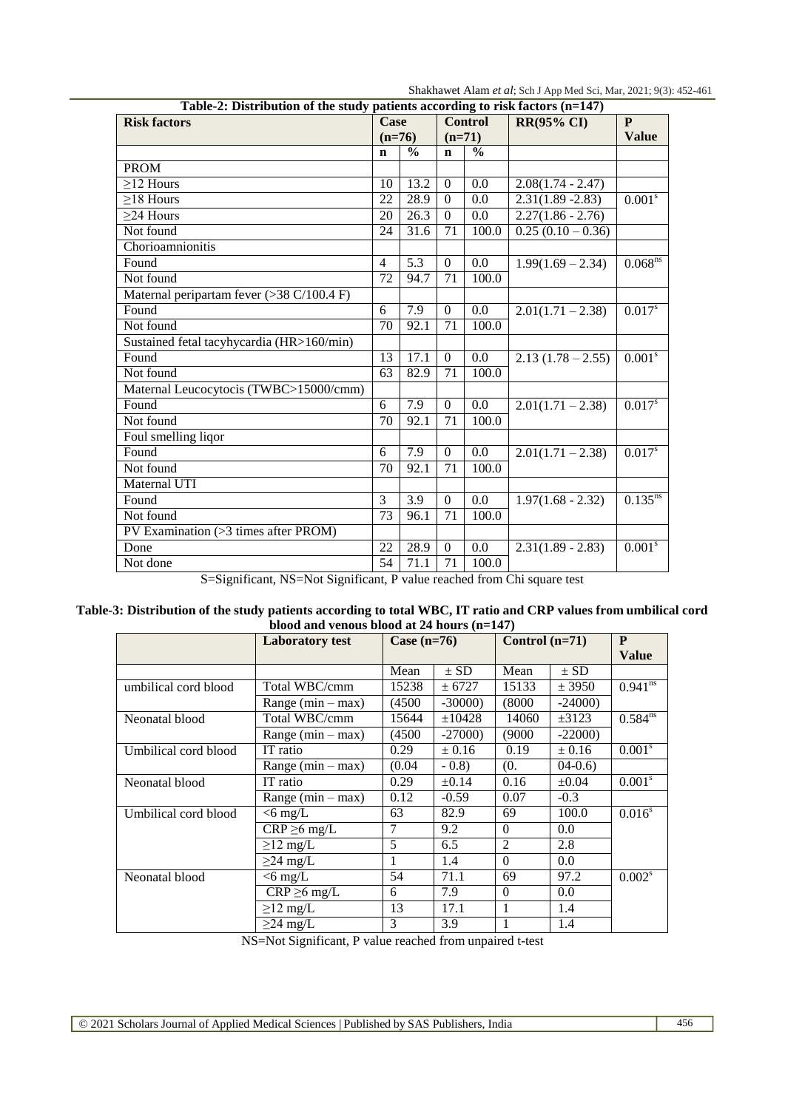Shakhawet Alam *et al*; Sch J App Med Sci, Mar, 2021; 9(3): 452-461

| Table-2: Distribution of the study patients according to risk factors (n=147) |                 |                  |                |                          |                              |                        |  |  |  |  |  |
|-------------------------------------------------------------------------------|-----------------|------------------|----------------|--------------------------|------------------------------|------------------------|--|--|--|--|--|
| <b>Risk factors</b>                                                           | Case            |                  |                | <b>Control</b>           | <b>RR(95% CI)</b>            | P                      |  |  |  |  |  |
|                                                                               | $(n=76)$        |                  | $(n=71)$       |                          |                              | <b>Value</b>           |  |  |  |  |  |
|                                                                               | $\mathbf n$     | $\frac{0}{0}$    | $\mathbf n$    | $\overline{\frac{0}{0}}$ |                              |                        |  |  |  |  |  |
| <b>PROM</b>                                                                   |                 |                  |                |                          |                              |                        |  |  |  |  |  |
| $\geq$ 12 Hours                                                               | 10              | 13.2             | $\overline{0}$ | $0.\overline{0}$         | $2.08(1.74 - 2.47)$          |                        |  |  |  |  |  |
| $\geq$ 18 Hours                                                               | 22              | 28.9             | $\theta$       | 0.0                      | $2.31(1.89 - 2.83)$          | $0.001^{s}$            |  |  |  |  |  |
| $\geq$ 24 Hours                                                               | 20              | 26.3             | $\Omega$       | 0.0                      | $2.27(1.86 - 2.76)$          |                        |  |  |  |  |  |
| Not found                                                                     | 24              | 31.6             | 71             | 100.0                    | $\overline{0.25(0.10-0.36)}$ |                        |  |  |  |  |  |
| Chorioamnionitis                                                              |                 |                  |                |                          |                              |                        |  |  |  |  |  |
| Found                                                                         | $\overline{4}$  | 5.3              | $\theta$       | 0.0                      | $1.99(1.69 - 2.34)$          | $0.068$ <sup>ns</sup>  |  |  |  |  |  |
| Not found                                                                     |                 | 94.7             | 71             | 100.0                    |                              |                        |  |  |  |  |  |
| Maternal peripartam fever (>38 C/100.4 F)                                     |                 |                  |                |                          |                              |                        |  |  |  |  |  |
| Found                                                                         |                 | 7.9              | $\overline{0}$ | 0.0                      | $2.01(1.71 - 2.38)$          | $0.017^{s}$            |  |  |  |  |  |
| Not found                                                                     | 70              | 92.1             | 71             | 100.0                    |                              |                        |  |  |  |  |  |
| Sustained fetal tacyhycardia (HR>160/min)                                     |                 |                  |                |                          |                              |                        |  |  |  |  |  |
| Found                                                                         | 13              | 17.1             | $\overline{0}$ | 0.0                      | $2.13(1.78 - 2.55)$          | 0.001 <sup>s</sup>     |  |  |  |  |  |
| Not found                                                                     | 63              | 82.9             | 71             | 100.0                    |                              |                        |  |  |  |  |  |
| Maternal Leucocytocis (TWBC>15000/cmm)                                        |                 |                  |                |                          |                              |                        |  |  |  |  |  |
| Found                                                                         | 6               | 7.9              | $\overline{0}$ | 0.0                      | $\overline{2.01(1.71-2.38)}$ | 0.017 <sup>s</sup>     |  |  |  |  |  |
| Not found                                                                     | 70              | 92.1             | 71             | 100.0                    |                              |                        |  |  |  |  |  |
| Foul smelling liqor                                                           |                 |                  |                |                          |                              |                        |  |  |  |  |  |
| Found                                                                         | 6               | 7.9              | $\theta$       | $0.\overline{0}$         | $2.01(1.71 - 2.38)$          | $0.017^{s}$            |  |  |  |  |  |
| Not found                                                                     | 70              | 92.1             | 71             | 100.0                    |                              |                        |  |  |  |  |  |
| Maternal UTI                                                                  |                 |                  |                |                          |                              |                        |  |  |  |  |  |
| Found                                                                         | $\overline{3}$  | $\overline{3.9}$ | $\overline{0}$ | 0.0                      | $1.97(1.68 - 2.32)$          | $0.135^{ns}$           |  |  |  |  |  |
| Not found                                                                     | 73              | 96.1             | 71             | 100.0                    |                              |                        |  |  |  |  |  |
| PV Examination (>3 times after PROM)                                          |                 |                  |                |                          |                              |                        |  |  |  |  |  |
| Done                                                                          | 22              | 28.9             | $\overline{0}$ | 0.0                      | $2.31(1.89 - 2.83)$          | $0.001^{\overline{s}}$ |  |  |  |  |  |
| Not done                                                                      | $\overline{54}$ | 71.1             | 71             | 100.0                    |                              |                        |  |  |  |  |  |

S=Significant, NS=Not Significant, P value reached from Chi square test

Table-3: Distribution of the study patients according to total WBC, IT ratio and CRP values from umbilical cord **blood and venous blood at 24 hours (n=147)**

|                      | лооч ани теноар рюби ат номгр (н–1-г)<br><b>Laboratory test</b> | Case $(n=76)$ |            | Control $(n=71)$ | P<br><b>Value</b> |                    |
|----------------------|-----------------------------------------------------------------|---------------|------------|------------------|-------------------|--------------------|
|                      |                                                                 | Mean          | $\pm$ SD   | Mean             | $\pm$ SD          |                    |
| umbilical cord blood | Total WBC/cmm                                                   | 15238         | ± 6727     | 15133            | $±$ 3950          | $0.941^{ns}$       |
|                      | Range $(min - max)$                                             | (4500)        | $-30000$   | (8000)           | $-24000$          |                    |
| Neonatal blood       | Total WBC/cmm                                                   | 15644         | ±10428     | 14060            | $\pm 3123$        | $0.584^{ns}$       |
|                      | Range $(min - max)$                                             | (4500)        | $-27000$   | (9000)           | $-22000$          |                    |
| Umbilical cord blood | IT ratio                                                        | 0.29          | $\pm 0.16$ | 0.19             | ± 0.16            | 0.001 <sup>s</sup> |
|                      | Range $(min - max)$                                             | (0.04)        | $-0.8$     | (0.              | $04-0.6$          |                    |
| Neonatal blood       | IT ratio                                                        | 0.29          | $\pm 0.14$ | 0.16             | $\pm 0.04$        | 0.001 <sup>s</sup> |
|                      | Range $(min - max)$                                             | 0.12          | $-0.59$    | 0.07             | $-0.3$            |                    |
| Umbilical cord blood | $<$ 6 mg/L                                                      | 63            | 82.9       | 69               | 100.0             | $0.016^s$          |
|                      | $CRP \geq 6$ mg/L                                               | 7             | 9.2        | $\Omega$         | 0.0               |                    |
|                      | $\geq$ 12 mg/L                                                  | 5             | 6.5        | $\overline{2}$   | 2.8               |                    |
|                      | $\geq$ 24 mg/L                                                  | 1             | 1.4        | $\Omega$         | 0.0               |                    |
| Neonatal blood       | $<$ 6 mg/L                                                      | 54            | 71.1       | 69               | 97.2              | 0.002 <sup>s</sup> |
|                      | $CRP \geq 6$ mg/L                                               | 6             | 7.9        | $\Omega$         | 0.0               |                    |
|                      | $\geq$ 12 mg/L                                                  | 13            | 17.1       | 1                | 1.4               |                    |
|                      | $\geq$ 24 mg/L                                                  | 3             | 3.9        | -1               | 1.4               |                    |

NS=Not Significant, P value reached from unpaired t-test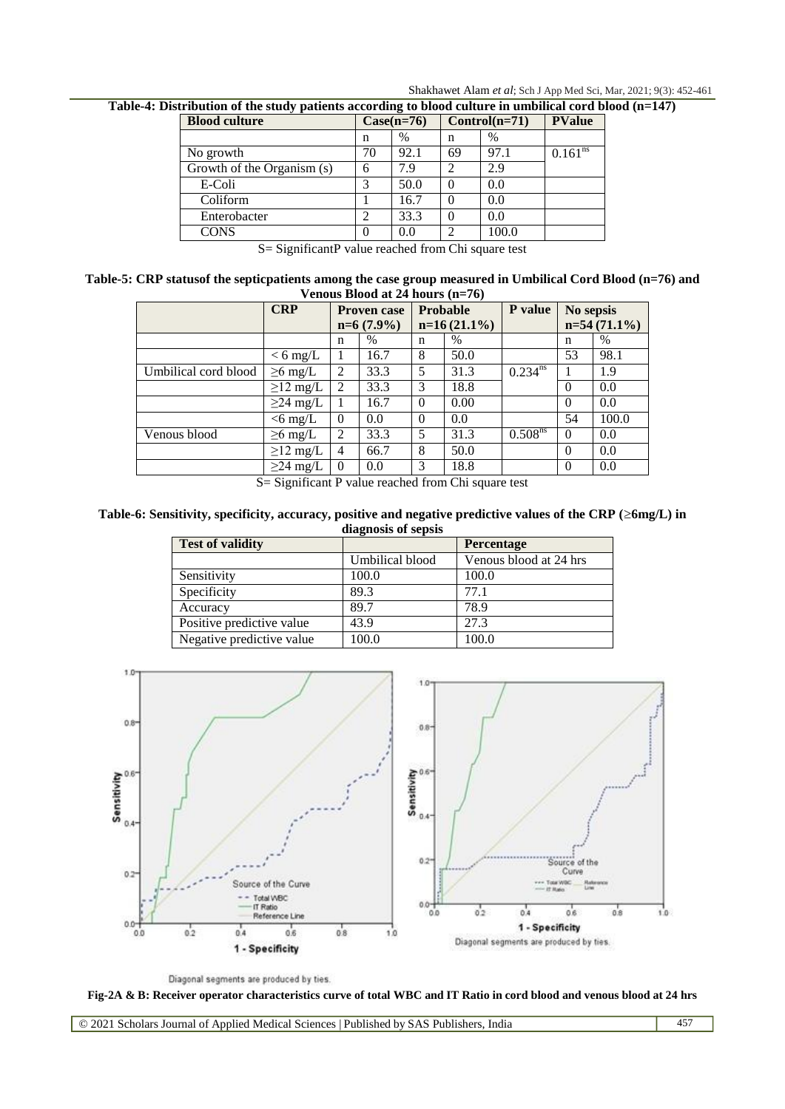Shakhawet Alam *et al*; Sch J App Med Sci, Mar, 2021; 9(3): 452-461

**Table-4: Distribution of the study patients according to blood culture in umbilical cord blood (n=147)**

| . .<br><b>Blood culture</b> | $Case(n=76)$ |      |    | $Control(n=71)$ | <b>PValue</b> |
|-----------------------------|--------------|------|----|-----------------|---------------|
|                             | n            | $\%$ | n  | %               |               |
| No growth                   | 70           | 92.1 | 69 | 97.1            | $0.161^{ns}$  |
| Growth of the Organism (s)  | 6            | 7.9  | 2  | 2.9             |               |
| E-Coli                      | 3            | 50.0 |    | 0.0             |               |
| Coliform                    |              | 16.7 | 0  | 0.0             |               |
| Enterobacter                |              | 33.3 |    | 0.0             |               |
| <b>CONS</b>                 | $\theta$     | 0.0  | ↑  | 100.0           |               |

S= SignificantP value reached from Chi square test

**Table-5: CRP statusof the septicpatients among the case group measured in Umbilical Cord Blood (n=76) and Venous Blood at 24 hours (n=76)**

|                      | <b>CRP</b><br><b>Proven case</b> |                | <b>Probable</b> |          | P value        | No sepsis    |          |                |
|----------------------|----------------------------------|----------------|-----------------|----------|----------------|--------------|----------|----------------|
|                      |                                  |                | $n=6(7.9\%)$    |          | $n=16(21.1\%)$ |              |          | $n=54(71.1\%)$ |
|                      |                                  | n              | $\%$            | n        | $\%$           |              | n        | $\%$           |
|                      | $< 6$ mg/L                       |                | 16.7            | 8        | 50.0           |              | 53       | 98.1           |
| Umbilical cord blood | $\geq 6$ mg/L                    | 2              | 33.3            | 5        | 31.3           | $0.234^{ns}$ |          | 1.9            |
|                      | $\geq$ 12 mg/L                   | 2              | 33.3            | 3        | 18.8           |              |          | 0.0            |
|                      | $\geq$ 24 mg/L                   |                | 16.7            | $\theta$ | 0.00           |              | $\theta$ | 0.0            |
|                      | $<$ 6 mg/L                       | $\Omega$       | 0.0             | $\theta$ | 0.0            |              | 54       | 100.0          |
| Venous blood         | $\geq 6$ mg/L                    | 2              | 33.3            | 5        | 31.3           | $0.508^{ns}$ | $\theta$ | 0.0            |
|                      | $\geq$ 12 mg/L                   | $\overline{4}$ | 66.7            | 8        | 50.0           |              | $\theta$ | 0.0            |
|                      | $\geq$ 24 mg/L                   | $\Omega$       | 0.0             | 3        | 18.8           |              |          | 0.0            |

S= Significant P value reached from Chi square test

**Table-6: Sensitivity, specificity, accuracy, positive and negative predictive values of the CRP (6mg/L) in diagnosis of sepsis**

| <b>Test of validity</b>   |                 | <b>Percentage</b>      |
|---------------------------|-----------------|------------------------|
|                           | Umbilical blood | Venous blood at 24 hrs |
| Sensitivity               | 100.0           | 100.0                  |
| Specificity               | 89.3            | 77.1                   |
| Accuracy                  | 89.7            | 78.9                   |
| Positive predictive value | 43.9            | 27.3                   |
| Negative predictive value | 100.0           | 100.0                  |





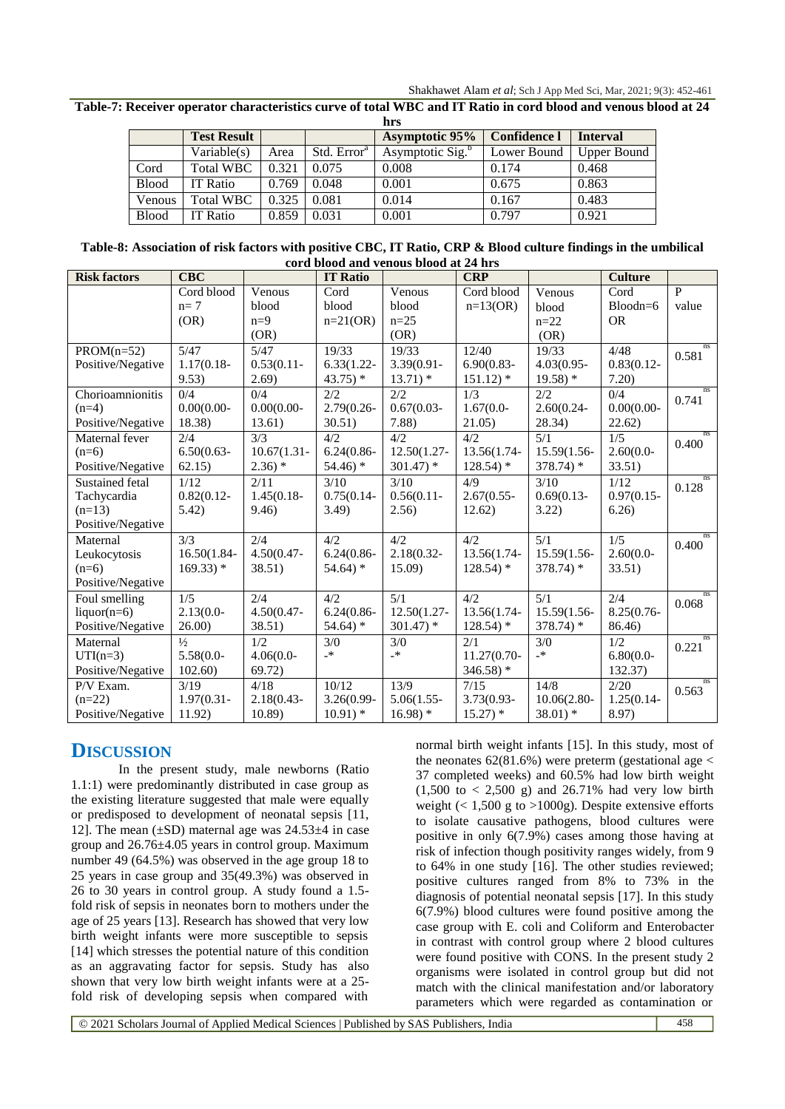Shakhawet Alam *et al*; Sch J App Med Sci, Mar, 2021; 9(3): 452-461

Table-7: Receiver operator characteristics curve of total WBC and IT Ratio in cord blood and venous blood at 24

|              |                    |       |                         | hrs                          |                     |                    |
|--------------|--------------------|-------|-------------------------|------------------------------|---------------------|--------------------|
|              | <b>Test Result</b> |       |                         | <b>Asymptotic 95%</b>        | <b>Confidence l</b> | <b>Interval</b>    |
|              | Variable(s)        | Area  | Std. Error <sup>a</sup> | Asymptotic Sig. <sup>b</sup> | Lower Bound         | <b>Upper Bound</b> |
| Cord         | <b>Total WBC</b>   | 0.321 | 0.075                   | 0.008                        | 0.174               | 0.468              |
| <b>Blood</b> | <b>IT Ratio</b>    | 0.769 | 0.048                   | 0.001                        | 0.675               | 0.863              |
| Venous       | <b>Total WBC</b>   | 0.325 | 0.081                   | 0.014                        | 0.167               | 0.483              |
| <b>Blood</b> | <b>IT Ratio</b>    | 0.859 | 0.031                   | 0.001                        | 0.797               | 0.921              |

| Table-8: Association of risk factors with positive CBC, IT Ratio, CRP & Blood culture findings in the umbilical |
|-----------------------------------------------------------------------------------------------------------------|
| cord blood and venous blood at 24 hrs                                                                           |

| <b>Risk factors</b> | <b>CBC</b>            |                | <b>IT Ratio</b>          |               | <b>CRP</b>            |                       | <b>Culture</b> |                |
|---------------------|-----------------------|----------------|--------------------------|---------------|-----------------------|-----------------------|----------------|----------------|
|                     | Cord blood            | Venous         | $\overline{\text{Cord}}$ | Venous        | Cord blood            | Venous                | Cord           | $\overline{P}$ |
|                     | $n=7$                 | blood          | blood                    | blood         | $n=13(OR)$            | blood                 | $Bloodn=6$     | value          |
|                     | (OR)                  | $n=9$          | $n=21(OR)$               | $n = 25$      |                       | $n=22$                | <b>OR</b>      |                |
|                     |                       | (OR)           |                          | (OR)          |                       | (OR)                  |                |                |
| $PROM(n=52)$        | 5/47                  | 5/47           | 19/33                    | 19/33         | 12/40                 | 19/33                 | 4/48           | ns<br>0.581    |
| Positive/Negative   | $1.17(0.18 -$         | $0.53(0.11 -$  | $6.33(1.22 -$            | $3.39(0.91 -$ | $6.90(0.83 -$         | $4.03(0.95 -$         | $0.83(0.12 -$  |                |
|                     | 9.53)                 | 2.69)          | $43.75$ *                | $13.71$ *     | $151.12$ <sup>*</sup> | $19.58$ <sup>*</sup>  | 7.20)          |                |
| Chorioamnionitis    | 0/4                   | 0/4            | 2/2                      | 2/2           | 1/3                   | 2/2                   | 0/4            | ns<br>0.741    |
| $(n=4)$             | $0.00(0.00 -$         | $0.00(0.00 -$  | 2.79(0.26-               | $0.67(0.03 -$ | $1.67(0.0 -$          | $2.60(0.24 -$         | $0.00(0.00 -$  |                |
| Positive/Negative   | 18.38)                | 13.61)         | 30.51)                   | 7.88)         | 21.05)                | 28.34)                | 22.62)         |                |
| Maternal fever      | 2/4                   | 3/3            | 4/2                      | 4/2           | 4/2                   | 5/1                   | 1/5            | ns<br>0.400    |
| $(n=6)$             | $6.50(0.63 -$         | $10.67(1.31 -$ | $6.24(0.86 -$            | 12.50(1.27-   | 13.56(1.74-           | 15.59(1.56-           | $2.60(0.0 -$   |                |
| Positive/Negative   | 62.15)                | $2.36$ *       | $54.46$ *                | $301.47$ *    | $128.54$ <sup>*</sup> | $378.74$ <sup>*</sup> | 33.51)         |                |
| Sustained fetal     | 1/12                  | 2/11           | 3/10                     | 3/10          | 4/9                   | 3/10                  | 1/12           | ns<br>0.128    |
| Tachycardia         | $0.82(0.12 -$         | $1.45(0.18 -$  | $0.75(0.14 -$            | $0.56(0.11 -$ | $2.67(0.55 -$         | $0.69(0.13 -$         | $0.97(0.15 -$  |                |
| $(n=13)$            | 5.42)                 | 9.46)          | 3.49)                    | 2.56)         | 12.62)                | 3.22)                 | 6.26           |                |
| Positive/Negative   |                       |                |                          |               |                       |                       |                |                |
| Maternal            | 3/3                   | 2/4            | 4/2                      | 4/2           | 4/2                   | 5/1                   | 1/5            | ns<br>0.400    |
| Leukocytosis        | 16.50(1.84-           | $4.50(0.47 -$  | $6.24(0.86 -$            | $2.18(0.32 -$ | 13.56(1.74-           | 15.59(1.56-           | $2.60(0.0 -$   |                |
| $(n=6)$             | $169.33$ <sup>*</sup> | 38.51)         | $54.64$ <sup>*</sup>     | 15.09         | $128.54$ <sup>*</sup> | $378.74$ <sup>*</sup> | 33.51)         |                |
| Positive/Negative   |                       |                |                          |               |                       |                       |                |                |
| Foul smelling       | 1/5                   | 2/4            | 4/2                      | 5/1           | 4/2                   | 5/1                   | 2/4            | ns<br>0.068    |
| $liquor(n=6)$       | $2.13(0.0 -$          | $4.50(0.47 -$  | $6.24(0.86 -$            | 12.50(1.27-   | 13.56(1.74-           | 15.59(1.56-           | $8.25(0.76 -$  |                |
| Positive/Negative   | 26.00)                | 38.51)         | $54.64$ <sup>*</sup>     | $301.47$ *    | $128.54$ <sup>*</sup> | $378.74$ <sup>*</sup> | 86.46)         |                |
| Maternal            | $\frac{1}{2}$         | 1/2            | 3/0                      | 3/0           | 2/1                   | 3/0                   | 1/2            | ns<br>0.221    |
| $UTI(n=3)$          | $5.58(0.0 -$          | $4.06(0.0 -$   | $\rightarrow$            | $\_*$         | 11.27(0.70-           | $\rightarrow$         | $6.80(0.0 -$   |                |
| Positive/Negative   | 102.60                | 69.72)         |                          |               | $346.58$ <sup>*</sup> |                       | 132.37)        |                |
| P/V Exam.           | 3/19                  | 4/18           | 10/12                    | 13/9          | 7/15                  | 14/8                  | 2/20           | ns<br>0.563    |
| $(n=22)$            | $1.97(0.31 -$         | $2.18(0.43 -$  | 3.26(0.99-               | $5.06(1.55 -$ | 3.73(0.93-            | 10.06(2.80-           | $1.25(0.14 -$  |                |
| Positive/Negative   | 11.92)                | 10.89          | $10.91$ *                | $16.98$ *     | $15.27$ *             | $38.01$ *             | 8.97)          |                |

## **DISCUSSION**

In the present study, male newborns (Ratio 1.1:1) were predominantly distributed in case group as the existing literature suggested that male were equally or predisposed to development of neonatal sepsis [11, 12]. The mean  $(\pm SD)$  maternal age was 24.53 $\pm 4$  in case group and 26.76±4.05 years in control group. Maximum number 49 (64.5%) was observed in the age group 18 to 25 years in case group and 35(49.3%) was observed in 26 to 30 years in control group. A study found a 1.5 fold risk of sepsis in neonates born to mothers under the age of 25 years [13]. Research has showed that very low birth weight infants were more susceptible to sepsis [14] which stresses the potential nature of this condition as an aggravating factor for sepsis. Study has also shown that very low birth weight infants were at a 25 fold risk of developing sepsis when compared with

normal birth weight infants [15]. In this study, most of the neonates  $62(81.6%)$  were preterm (gestational age < 37 completed weeks) and 60.5% had low birth weight  $(1,500 \text{ to } 2,500 \text{ g})$  and  $26.71\%$  had very low birth weight  $(< 1,500$  g to  $>1000$ g). Despite extensive efforts to isolate causative pathogens, blood cultures were positive in only 6(7.9%) cases among those having at risk of infection though positivity ranges widely, from 9 to 64% in one study [16]. The other studies reviewed; positive cultures ranged from 8% to 73% in the diagnosis of potential neonatal sepsis [17]. In this study 6(7.9%) blood cultures were found positive among the case group with E. coli and Coliform and Enterobacter in contrast with control group where 2 blood cultures were found positive with CONS. In the present study 2 organisms were isolated in control group but did not match with the clinical manifestation and/or laboratory parameters which were regarded as contamination or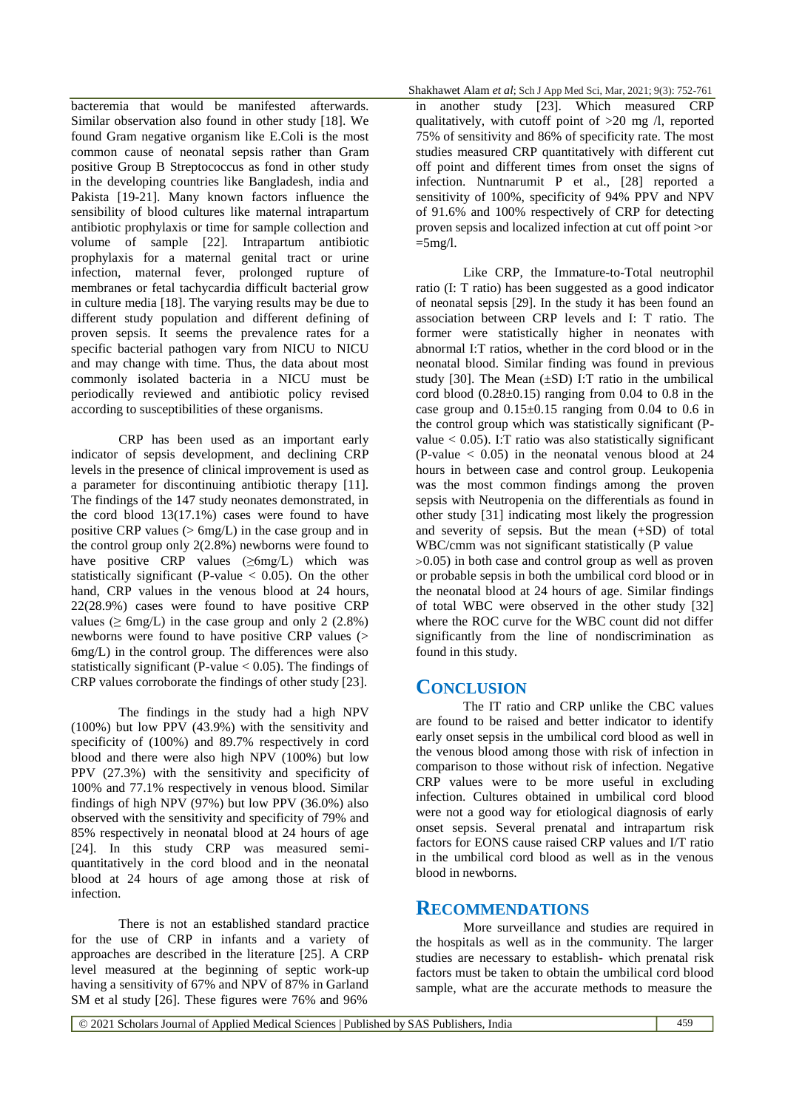bacteremia that would be manifested afterwards. Similar observation also found in other study [18]. We found Gram negative organism like E.Coli is the most common cause of neonatal sepsis rather than Gram positive Group B Streptococcus as fond in other study in the developing countries like Bangladesh, india and Pakista [19-21]. Many known factors influence the sensibility of blood cultures like maternal intrapartum antibiotic prophylaxis or time for sample collection and volume of sample [22]. Intrapartum antibiotic prophylaxis for a maternal genital tract or urine infection, maternal fever, prolonged rupture of membranes or fetal tachycardia difficult bacterial grow in culture media [18]. The varying results may be due to different study population and different defining of proven sepsis. It seems the prevalence rates for a specific bacterial pathogen vary from NICU to NICU and may change with time. Thus, the data about most commonly isolated bacteria in a NICU must be periodically reviewed and antibiotic policy revised according to susceptibilities of these organisms.

CRP has been used as an important early indicator of sepsis development, and declining CRP levels in the presence of clinical improvement is used as a parameter for discontinuing antibiotic therapy [11]. The findings of the 147 study neonates demonstrated, in the cord blood 13(17.1%) cases were found to have positive CRP values (> 6mg/L) in the case group and in the control group only 2(2.8%) newborns were found to have positive  $CRP$  values ( $\geq 6$ mg/L) which was statistically significant (P-value  $< 0.05$ ). On the other hand, CRP values in the venous blood at 24 hours, 22(28.9%) cases were found to have positive CRP values ( $\geq 6$ mg/L) in the case group and only 2 (2.8%) newborns were found to have positive CRP values (> 6mg/L) in the control group. The differences were also statistically significant (P-value  $< 0.05$ ). The findings of CRP values corroborate the findings of other study [23].

The findings in the study had a high NPV (100%) but low PPV (43.9%) with the sensitivity and specificity of (100%) and 89.7% respectively in cord blood and there were also high NPV (100%) but low PPV (27.3%) with the sensitivity and specificity of 100% and 77.1% respectively in venous blood. Similar findings of high NPV (97%) but low PPV (36.0%) also observed with the sensitivity and specificity of 79% and 85% respectively in neonatal blood at 24 hours of age [24]. In this study CRP was measured semiquantitatively in the cord blood and in the neonatal blood at 24 hours of age among those at risk of infection.

There is not an established standard practice for the use of CRP in infants and a variety of approaches are described in the literature [25]. A CRP level measured at the beginning of septic work-up having a sensitivity of 67% and NPV of 87% in Garland SM et al study [26]. These figures were 76% and 96%

Shakhawet Alam *et al*; Sch J App Med Sci, Mar, 2021; 9(3): 752-761

in another study [23]. Which measured CRP qualitatively, with cutoff point of >20 mg /l, reported 75% of sensitivity and 86% of specificity rate. The most studies measured CRP quantitatively with different cut off point and different times from onset the signs of infection. Nuntnarumit P et al., [28] reported a sensitivity of 100%, specificity of 94% PPV and NPV of 91.6% and 100% respectively of CRP for detecting proven sepsis and localized infection at cut off point >or  $=5$ mg/l.

Like CRP, the Immature-to-Total neutrophil ratio (I: T ratio) has been suggested as a good indicator of neonatal sepsis [29]. In the study it has been found an association between CRP levels and I: T ratio. The former were statistically higher in neonates with abnormal I:T ratios, whether in the cord blood or in the neonatal blood. Similar finding was found in previous study [30]. The Mean  $(\pm SD)$  I:T ratio in the umbilical cord blood  $(0.28\pm0.15)$  ranging from 0.04 to 0.8 in the case group and  $0.15 \pm 0.15$  ranging from 0.04 to 0.6 in the control group which was statistically significant (Pvalue  $< 0.05$ ). I:T ratio was also statistically significant  $(P-value < 0.05)$  in the neonatal venous blood at 24 hours in between case and control group. Leukopenia was the most common findings among the proven sepsis with Neutropenia on the differentials as found in other study [31] indicating most likely the progression and severity of sepsis. But the mean (+SD) of total WBC/cmm was not significant statistically (P value  $>0.05$ ) in both case and control group as well as proven or probable sepsis in both the umbilical cord blood or in the neonatal blood at 24 hours of age. Similar findings of total WBC were observed in the other study [32] where the ROC curve for the WBC count did not differ significantly from the line of nondiscrimination as found in this study.

#### **CONCLUSION**

The IT ratio and CRP unlike the CBC values are found to be raised and better indicator to identify early onset sepsis in the umbilical cord blood as well in the venous blood among those with risk of infection in comparison to those without risk of infection. Negative CRP values were to be more useful in excluding infection. Cultures obtained in umbilical cord blood were not a good way for etiological diagnosis of early onset sepsis. Several prenatal and intrapartum risk factors for EONS cause raised CRP values and I/T ratio in the umbilical cord blood as well as in the venous blood in newborns.

#### **RECOMMENDATIONS**

More surveillance and studies are required in the hospitals as well as in the community. The larger studies are necessary to establish- which prenatal risk factors must be taken to obtain the umbilical cord blood sample, what are the accurate methods to measure the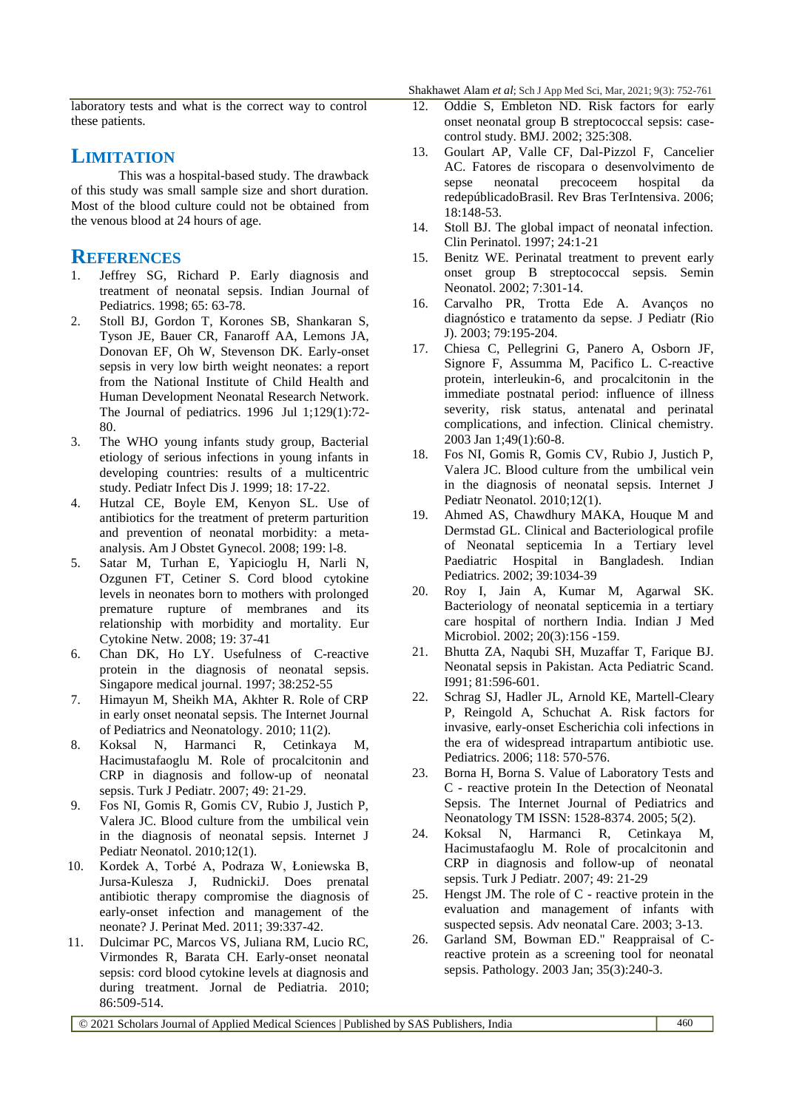Shakhawet Alam *et al*; Sch J App Med Sci, Mar, 2021; 9(3): 752-761

laboratory tests and what is the correct way to control these patients.

## **LIMITATION**

This was a hospital-based study. The drawback of this study was small sample size and short duration. Most of the blood culture could not be obtained from the venous blood at 24 hours of age.

#### **REFERENCES**

- 1. Jeffrey SG, Richard P. Early diagnosis and treatment of neonatal sepsis. Indian Journal of Pediatrics. 1998; 65: 63-78.
- 2. Stoll BJ, Gordon T, Korones SB, Shankaran S, Tyson JE, Bauer CR, Fanaroff AA, Lemons JA, Donovan EF, Oh W, Stevenson DK. Early-onset sepsis in very low birth weight neonates: a report from the National Institute of Child Health and Human Development Neonatal Research Network. The Journal of pediatrics. 1996 Jul 1;129(1):72- 80.
- 3. The WHO young infants study group, Bacterial etiology of serious infections in young infants in developing countries: results of a multicentric study. Pediatr Infect Dis J. 1999; 18: 17-22.
- 4. Hutzal CE, Boyle EM, Kenyon SL. Use of antibiotics for the treatment of preterm parturition and prevention of neonatal morbidity: a metaanalysis. Am J Obstet Gynecol. 2008; 199: l-8.
- 5. Satar M, Turhan E, Yapicioglu H, Narli N, Ozgunen FT, Cetiner S. Cord blood cytokine levels in neonates born to mothers with prolonged premature rupture of membranes and its relationship with morbidity and mortality. Eur Cytokine Netw. 2008; 19: 37-41
- 6. Chan DK, Ho LY. Usefulness of C-reactive protein in the diagnosis of neonatal sepsis. Singapore medical journal. 1997; 38:252-55
- 7. Himayun M, Sheikh MA, Akhter R. Role of CRP in early onset neonatal sepsis. The Internet Journal of Pediatrics and Neonatology. 2010; 11(2).
- 8. Koksal N, Harmanci R, Cetinkaya M, Hacimustafaoglu M. Role of procalcitonin and CRP in diagnosis and follow-up of neonatal sepsis. Turk J Pediatr. 2007; 49: 21-29.
- 9. Fos NI, Gomis R, Gomis CV, Rubio J, Justich P, Valera JC. Blood culture from the umbilical vein in the diagnosis of neonatal sepsis. Internet J Pediatr Neonatol. 2010;12(1).
- 10. Kordek A, Torbé A, Podraza W, Łoniewska B, Jursa-Kulesza J, RudnickiJ. Does prenatal antibiotic therapy compromise the diagnosis of early-onset infection and management of the neonate? J. Perinat Med. 2011; 39:337-42.
- 11. Dulcimar PC, Marcos VS, Juliana RM, Lucio RC, Virmondes R, Barata CH. Early-onset neonatal sepsis: cord blood cytokine levels at diagnosis and during treatment. Jornal de Pediatria. 2010; 86:509-514.
- 12. Oddie S, Embleton ND. Risk factors for early onset neonatal group B streptococcal sepsis: casecontrol study. BMJ. 2002; 325:308.
- 13. Goulart AP, Valle CF, Dal-Pizzol F, Cancelier AC. Fatores de riscopara o desenvolvimento de sepse neonatal precoceem hospital da redepúblicadoBrasil. Rev Bras TerIntensiva. 2006; 18:148-53.
- 14. Stoll BJ. The global impact of neonatal infection. Clin Perinatol. 1997; 24:1-21
- 15. Benitz WE. Perinatal treatment to prevent early onset group B streptococcal sepsis. Semin Neonatol. 2002; 7:301-14.
- 16. Carvalho PR, Trotta Ede A. Avanços no diagnóstico e tratamento da sepse. J Pediatr (Rio J). 2003; 79:195-204.
- 17. Chiesa C, Pellegrini G, Panero A, Osborn JF, Signore F, Assumma M, Pacifico L. C-reactive protein, interleukin-6, and procalcitonin in the immediate postnatal period: influence of illness severity, risk status, antenatal and perinatal complications, and infection. Clinical chemistry. 2003 Jan 1;49(1):60-8.
- 18. Fos NI, Gomis R, Gomis CV, Rubio J, Justich P, Valera JC. Blood culture from the umbilical vein in the diagnosis of neonatal sepsis. Internet J Pediatr Neonatol. 2010;12(1).
- 19. Ahmed AS, Chawdhury MAKA, Houque M and Dermstad GL. Clinical and Bacteriological profile of Neonatal septicemia In a Tertiary level Paediatric Hospital in Bangladesh. Indian Pediatrics. 2002; 39:1034-39
- 20. Roy I, Jain A, Kumar M, Agarwal SK. Bacteriology of neonatal septicemia in a tertiary care hospital of northern India. Indian J Med Microbiol. 2002; 20(3):156 -159.
- 21. Bhutta ZA, Naqubi SH, Muzaffar T, Farique BJ. Neonatal sepsis in Pakistan. Acta Pediatric Scand. I991; 81:596-601.
- 22. Schrag SJ, Hadler JL, Arnold KE, Martell-Cleary P, Reingold A, Schuchat A. Risk factors for invasive, early-onset Escherichia coli infections in the era of widespread intrapartum antibiotic use. Pediatrics. 2006; 118: 570-576.
- 23. Borna H, Borna S. Value of Laboratory Tests and C - reactive protein In the Detection of Neonatal Sepsis. The Internet Journal of Pediatrics and Neonatology TM ISSN: 1528-8374. 2005; 5(2).
- 24. Koksal N, Harmanci R, Cetinkaya M, Hacimustafaoglu M. Role of procalcitonin and CRP in diagnosis and follow-up of neonatal sepsis. Turk J Pediatr. 2007; 49: 21-29
- 25. Hengst JM. The role of C reactive protein in the evaluation and management of infants with suspected sepsis. Adv neonatal Care. 2003; 3-13.
- 26. Garland SM, Bowman ED." Reappraisal of Creactive protein as a screening tool for neonatal sepsis. Pathology. 2003 Jan; 35(3):240-3.

© 2021 Scholars Journal of Applied Medical Sciences | Published by SAS Publishers, India 460